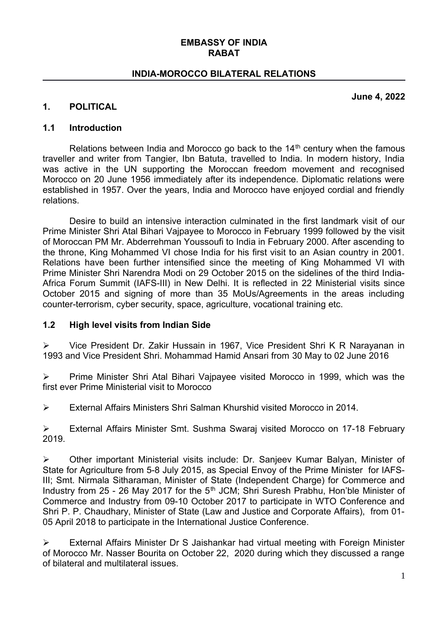#### **EMBASSY OF INDIA RABAT**

### **INDIA-MOROCCO BILATERAL RELATIONS**

**June 4, 2022**

#### **1. POLITICAL**

#### **1.1 Introduction**

Relations between India and Morocco go back to the  $14<sup>th</sup>$  century when the famous traveller and writer from Tangier, Ibn Batuta, travelled to India. In modern history, India was active in the UN supporting the Moroccan freedom movement and recognised Morocco on 20 June 1956 immediately after its independence. Diplomatic relations were established in 1957. Over the years, India and Morocco have enjoyed cordial and friendly relations.

Desire to build an intensive interaction culminated in the first landmark visit of our Prime Minister Shri Atal Bihari Vajpayee to Morocco in February 1999 followed by the visit of Moroccan PM Mr. Abderrehman Youssoufi to India in February 2000. After ascending to the throne, King Mohammed VI chose India for his first visit to an Asian country in 2001. Relations have been further intensified since the meeting of King Mohammed VI with Prime Minister Shri Narendra Modi on 29 October 2015 on the sidelines of the third India-Africa Forum Summit (IAFS-III) in New Delhi. It is reflected in 22 Ministerial visits since October 2015 and signing of more than 35 MoUs/Agreements in the areas including counter-terrorism, cyber security, space, agriculture, vocational training etc.

#### **1.2 High level visits from Indian Side**

 Vice President Dr. Zakir Hussain in 1967, Vice President Shri K R Narayanan in 1993 and Vice President Shri. Mohammad Hamid Ansari from 30 May to 02 June 2016

 $\triangleright$  Prime Minister Shri Atal Bihari Vajpayee visited Morocco in 1999, which was the first ever Prime Ministerial visit to Morocco

External Affairs Ministers Shri Salman Khurshid visited Morocco in 2014.

 External Affairs Minister Smt. Sushma Swaraj visited Morocco on 17-18 February 2019.

 Other important Ministerial visits include: Dr. Sanjeev Kumar Balyan, Minister of State for Agriculture from 5-8 July 2015, as Special Envoy of the Prime Minister for IAFS-III; Smt. Nirmala Sitharaman, Minister of State (Independent Charge) for Commerce and Industry from 25 - 26 May 2017 for the 5<sup>th</sup> JCM; Shri Suresh Prabhu, Hon'ble Minister of Commerce and Industry from 09-10 October 2017 to participate in WTO Conference and Shri P. P. Chaudhary, Minister of State (Law and Justice and Corporate Affairs), from 01- 05 April 2018 to participate in the International Justice Conference.

 External Affairs Minister Dr S Jaishankar had virtual meeting with Foreign Minister of Morocco Mr. Nasser Bourita on October 22, 2020 during which they discussed a range of bilateral and multilateral issues.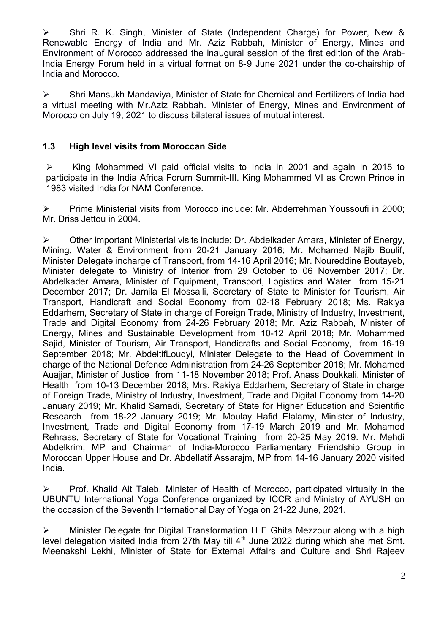Shri R. K. Singh, Minister of State (Independent Charge) for Power, New & Renewable Energy of India and Mr. Aziz Rabbah, Minister of Energy, Mines and Environment of Morocco addressed the inaugural session of the first edition of the Arab-India Energy Forum held in a virtual format on 8-9 June 2021 under the co-chairship of India and Morocco.

 Shri Mansukh Mandaviya, Minister of State for Chemical and Fertilizers of India had a virtual meeting with Mr.Aziz Rabbah*.* Minister of Energy, Mines and Environment of Morocco on July 19, 2021 to discuss bilateral issues of mutual interest.

## **1.3 High level visits from Moroccan Side**

 $\triangleright$  King Mohammed VI paid official visits to India in 2001 and again in 2015 to participate in the India Africa Forum Summit-III. King Mohammed VI as Crown Prince in 1983 visited India for NAM Conference.

 $\triangleright$  Prime Ministerial visits from Morocco include: Mr. Abderrehman Youssoufi in 2000; Mr. Driss Jettou in 2004.

 Other important Ministerial visits include: Dr. Abdelkader Amara, Minister of Energy, Mining, Water & Environment from 20-21 January 2016; Mr. Mohamed Najib Boulif, Minister Delegate incharge of Transport, from 14-16 April 2016; Mr. Noureddine Boutayeb, Minister delegate to Ministry of Interior from 29 October to 06 November 2017; Dr. Abdelkader Amara, Minister of Equipment, Transport, Logistics and Water from 15-21 December 2017; Dr. Jamila El Mossalli, Secretary of State to Minister for Tourism, Air Transport, Handicraft and Social Economy from 02-18 February 2018; Ms. Rakiya Eddarhem, Secretary of State in charge of Foreign Trade, Ministry of Industry, Investment, Trade and Digital Economy from 24-26 February 2018; Mr. Aziz Rabbah, Minister of Energy, Mines and Sustainable Development from 10-12 April 2018; Mr. Mohammed Sajid, Minister of Tourism, Air Transport, Handicrafts and Social Economy, from 16-19 September 2018; Mr. AbdeltifLoudyi, Minister Delegate to the Head of Government in charge of the National Defence Administration from 24-26 September 2018; Mr. Mohamed Auajiar, Minister of Justice from 11-18 November 2018; Prof. Anass Doukkali, Minister of Health from 10-13 December 2018; Mrs. Rakiya Eddarhem, Secretary of State in charge of Foreign Trade, Ministry of Industry, Investment, Trade and Digital Economy from 14-20 January 2019; Mr. Khalid Samadi, Secretary of State for Higher Education and Scientific Research from 18-22 January 2019; Mr. Moulay Hafid Elalamy, Minister of Industry, Investment, Trade and Digital Economy from 17-19 March 2019 and Mr. Mohamed Rehrass, Secretary of State for Vocational Training from 20-25 May 2019. Mr. Mehdi Abdelkrim, MP and Chairman of India-Morocco Parliamentary Friendship Group in Moroccan Upper House and Dr. Abdellatif Assarajm, MP from 14-16 January 2020 visited India.

 $\triangleright$  Prof. Khalid Ait Taleb, Minister of Health of Morocco, participated virtually in the UBUNTU International Yoga Conference organized by ICCR and Ministry of AYUSH on the occasion of the Seventh International Day of Yoga on 21-22 June, 2021.

 Minister Delegate for Digital Transformation H E Ghita Mezzour along with a high level delegation visited India from 27th May till  $4<sup>th</sup>$  June 2022 during which she met Smt. Meenakshi Lekhi, Minister of State for External Affairs and Culture and Shri Rajeev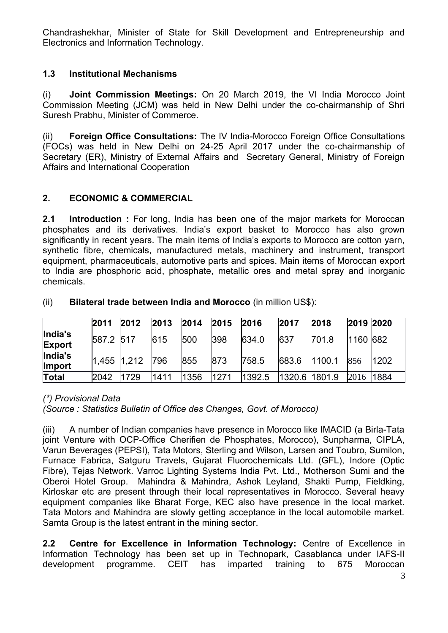Chandrashekhar, Minister of State for Skill Development and Entrepreneurship and Electronics and Information Technology.

# **1.3 Institutional Mechanisms**

(i) **Joint Commission Meetings:** On 20 March 2019, the VI India Morocco Joint Commission Meeting (JCM) was held in New Delhi under the co-chairmanship of Shri Suresh Prabhu, Minister of Commerce.

(ii) **Foreign Office Consultations:** The IV India-Morocco Foreign Office Consultations (FOCs) was held in New Delhi on 24-25 April 2017 under the co-chairmanship of Secretary (ER), Ministry of External Affairs and Secretary General, Ministry of Foreign Affairs and International Cooperation

# **2. ECONOMIC & COMMERCIAL**

**2.1 Introduction :** For long, India has been one of the major markets for Moroccan phosphates and its derivatives. India's export basket to Morocco has also grown significantly in recent years. The main items of India's exports to Morocco are cotton yarn, synthetic fibre, chemicals, manufactured metals, machinery and instrument, transport equipment, pharmaceuticals, automotive parts and spices. Main items of Moroccan export to India are phosphoric acid, phosphate, metallic ores and metal spray and inorganic chemicals.

|                          | 2011  | 2012  | 2013 | 2014 | 2015 | 2016   | 2017          | 2018   | 2019 2020 |      |
|--------------------------|-------|-------|------|------|------|--------|---------------|--------|-----------|------|
| India's<br><b>Export</b> | 587.2 | 517   | 615  | 500  | 398  | 634.0  | 637           | 701.8  | 1160 682  |      |
| India's<br><b>Import</b> | 1.455 | 1,212 | 796  | 855  | 873  | 758.5  | 683.6         | 1100.1 | 856       | 1202 |
| Total                    | 2042  | 1729  | 1411 | 1356 | 1271 | 1392.5 | 1320.6 1801.9 |        | 2016      | 1884 |

### (ii) **Bilateral trade between India and Morocco** (in million US\$):

### *(\*) Provisional Data*

*(Source : Statistics Bulletin of Office des Changes, Govt. of Morocco)*

(iii) A number of Indian companies have presence in Morocco like IMACID (a Birla-Tata joint Venture with OCP-Office Cherifien de Phosphates, Morocco), Sunpharma, CIPLA, Varun Beverages (PEPSI), Tata Motors, Sterling and Wilson, Larsen and Toubro, Sumilon, Furnace Fabrica, Satguru Travels, Gujarat Fluorochemicals Ltd. (GFL), Indore (Optic Fibre), Tejas Network. Varroc Lighting Systems India Pvt. Ltd., Motherson Sumi and the Oberoi Hotel Group. Mahindra & Mahindra, Ashok Leyland, Shakti Pump, Fieldking, Kirloskar etc are present through their local representatives in Morocco. Several heavy equipment companies like Bharat Forge, KEC also have presence in the local market. Tata Motors and Mahindra are slowly getting acceptance in the local automobile market. Samta Group is the latest entrant in the mining sector.

**2.2 Centre for Excellence in Information Technology:** Centre of Excellence in Information Technology has been set up in Technopark, Casablanca under IAFS-II development programme. CEIT has imparted training to 675 Moroccan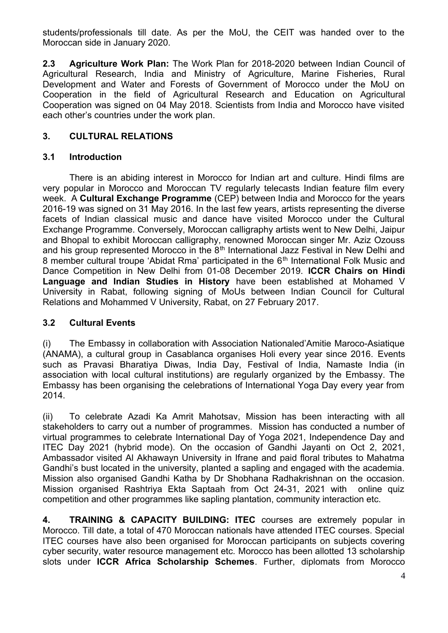students/professionals till date. As per the MoU, the CEIT was handed over to the Moroccan side in January 2020.

**2.3 Agriculture Work Plan:** The Work Plan for 2018-2020 between Indian Council of Agricultural Research, India and Ministry of Agriculture, Marine Fisheries, Rural Development and Water and Forests of Government of Morocco under the MoU on Cooperation in the field of Agricultural Research and Education on Agricultural Cooperation was signed on 04 May 2018. Scientists from India and Morocco have visited each other's countries under the work plan.

## **3. CULTURAL RELATIONS**

## **3.1 Introduction**

There is an abiding interest in Morocco for Indian art and culture. Hindi films are very popular in Morocco and Moroccan TV regularly telecasts Indian feature film every week. A **Cultural Exchange Programme** (CEP) between India and Morocco for the years 2016-19 was signed on 31 May 2016. In the last few years, artists representing the diverse facets of Indian classical music and dance have visited Morocco under the Cultural Exchange Programme. Conversely, Moroccan calligraphy artists went to New Delhi, Jaipur and Bhopal to exhibit Moroccan calligraphy, renowned Moroccan singer Mr. Aziz Ozouss and his group represented Morocco in the  $8<sup>th</sup>$  International Jazz Festival in New Delhi and 8 member cultural troupe 'Abidat Rma' participated in the 6<sup>th</sup> International Folk Music and Dance Competition in New Delhi from 01-08 December 2019. **ICCR Chairs on Hindi Language and Indian Studies in History** have been established at Mohamed V University in Rabat, following signing of MoUs between Indian Council for Cultural Relations and Mohammed V University, Rabat, on 27 February 2017.

### **3.2 Cultural Events**

(i) The Embassy in collaboration with Association Nationaled'Amitie Maroco-Asiatique (ANAMA), a cultural group in Casablanca organises Holi every year since 2016. Events such as Pravasi Bharatiya Diwas, India Day, Festival of India, Namaste India (in association with local cultural institutions) are regularly organized by the Embassy. The Embassy has been organising the celebrations of International Yoga Day every year from 2014.

(ii) To celebrate Azadi Ka Amrit Mahotsav, Mission has been interacting with all stakeholders to carry out a number of programmes. Mission has conducted a number of virtual programmes to celebrate International Day of Yoga 2021, Independence Day and ITEC Day 2021 (hybrid mode). On the occasion of Gandhi Jayanti on Oct 2, 2021, Ambassador visited Al Akhawayn University in Ifrane and paid floral tributes to Mahatma Gandhi's bust located in the university, planted a sapling and engaged with the academia. Mission also organised Gandhi Katha by Dr Shobhana Radhakrishnan on the occasion. Mission organised Rashtriya Ekta Saptaah from Oct 24-31, 2021 with online quiz competition and other programmes like sapling plantation, community interaction etc.

**4. TRAINING & CAPACITY BUILDING: ITEC** courses are extremely popular in Morocco. Till date, a total of 470 Moroccan nationals have attended ITEC courses. Special ITEC courses have also been organised for Moroccan participants on subjects covering cyber security, water resource management etc. Morocco has been allotted 13 scholarship slots under **ICCR Africa Scholarship Schemes**. Further, diplomats from Morocco